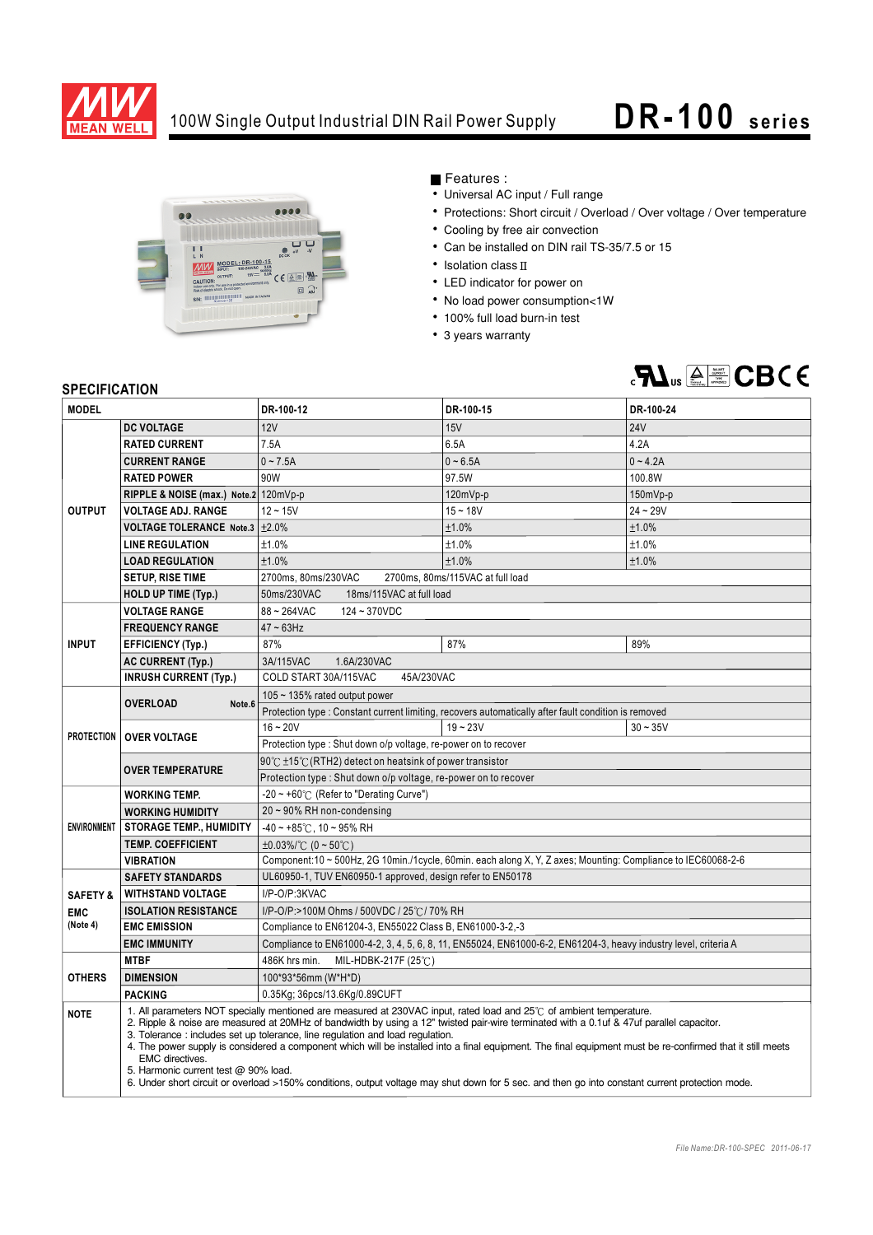

## 100W Single Output Industrial DIN Rail Power Supply **DR- 100 series**



## Features :

- Universal AC input / Full range
- Protections: Short circuit / Overload / Over voltage / Over temperature
- Cooling by free air convection
- Can be installed on DIN rail TS-35/7.5 or 15
- $\cdot$  Isolation class  $\mathbb I$
- LED indicator for power on
- No load power consumption<1W
- 100% full load burn-in test
- 3 years warranty



## **SPECIFICATION**

| יוטוווטם ושם וט<br><b>MODEL</b> |                                                                                                                                                                                                                                                                                                                                                                                                                                                                                                                                                                                                                                                                                                                                     | DR-100-12                                                                                                       | DR-100-15  | DR-100-24  |
|---------------------------------|-------------------------------------------------------------------------------------------------------------------------------------------------------------------------------------------------------------------------------------------------------------------------------------------------------------------------------------------------------------------------------------------------------------------------------------------------------------------------------------------------------------------------------------------------------------------------------------------------------------------------------------------------------------------------------------------------------------------------------------|-----------------------------------------------------------------------------------------------------------------|------------|------------|
|                                 | <b>DC VOLTAGE</b>                                                                                                                                                                                                                                                                                                                                                                                                                                                                                                                                                                                                                                                                                                                   | 12V                                                                                                             | 15V        | <b>24V</b> |
| <b>OUTPUT</b>                   | <b>RATED CURRENT</b>                                                                                                                                                                                                                                                                                                                                                                                                                                                                                                                                                                                                                                                                                                                | 7.5A                                                                                                            | 6.5A       | 4.2A       |
|                                 | <b>CURRENT RANGE</b>                                                                                                                                                                                                                                                                                                                                                                                                                                                                                                                                                                                                                                                                                                                | $0 - 7.5A$                                                                                                      | $0 - 6.5A$ | $0 - 4.2A$ |
|                                 | <b>RATED POWER</b>                                                                                                                                                                                                                                                                                                                                                                                                                                                                                                                                                                                                                                                                                                                  | 90W                                                                                                             | 97.5W      | 100.8W     |
|                                 | RIPPLE & NOISE (max.) Note.2 120mVp-p                                                                                                                                                                                                                                                                                                                                                                                                                                                                                                                                                                                                                                                                                               |                                                                                                                 | 120mVp-p   | 150mVp-p   |
|                                 | <b>VOLTAGE ADJ. RANGE</b>                                                                                                                                                                                                                                                                                                                                                                                                                                                                                                                                                                                                                                                                                                           | $12 - 15V$                                                                                                      | $15 - 18V$ | $24 - 29V$ |
|                                 | VOLTAGE TOLERANCE Note.3 ±2.0%                                                                                                                                                                                                                                                                                                                                                                                                                                                                                                                                                                                                                                                                                                      |                                                                                                                 | ±1.0%      | ±1.0%      |
|                                 | <b>LINE REGULATION</b>                                                                                                                                                                                                                                                                                                                                                                                                                                                                                                                                                                                                                                                                                                              | ±1.0%                                                                                                           | ±1.0%      | ±1.0%      |
|                                 | <b>LOAD REGULATION</b>                                                                                                                                                                                                                                                                                                                                                                                                                                                                                                                                                                                                                                                                                                              | ±1.0%                                                                                                           | ±1.0%      | ±1.0%      |
|                                 | <b>SETUP, RISE TIME</b>                                                                                                                                                                                                                                                                                                                                                                                                                                                                                                                                                                                                                                                                                                             | 2700ms, 80ms/230VAC<br>2700ms, 80ms/115VAC at full load                                                         |            |            |
|                                 | <b>HOLD UP TIME (Typ.)</b>                                                                                                                                                                                                                                                                                                                                                                                                                                                                                                                                                                                                                                                                                                          | 50ms/230VAC<br>18ms/115VAC at full load                                                                         |            |            |
| <b>INPUT</b>                    | <b>VOLTAGE RANGE</b>                                                                                                                                                                                                                                                                                                                                                                                                                                                                                                                                                                                                                                                                                                                | 88~264VAC<br>124~370VDC                                                                                         |            |            |
|                                 | <b>FREQUENCY RANGE</b>                                                                                                                                                                                                                                                                                                                                                                                                                                                                                                                                                                                                                                                                                                              | $47 \sim 63$ Hz                                                                                                 |            |            |
|                                 | <b>EFFICIENCY (Typ.)</b>                                                                                                                                                                                                                                                                                                                                                                                                                                                                                                                                                                                                                                                                                                            | 87%                                                                                                             | 87%        | 89%        |
|                                 | <b>AC CURRENT (Typ.)</b>                                                                                                                                                                                                                                                                                                                                                                                                                                                                                                                                                                                                                                                                                                            | 3A/115VAC<br>1.6A/230VAC                                                                                        |            |            |
|                                 | <b>INRUSH CURRENT (Typ.)</b>                                                                                                                                                                                                                                                                                                                                                                                                                                                                                                                                                                                                                                                                                                        | COLD START 30A/115VAC<br>45A/230VAC                                                                             |            |            |
| <b>PROTECTION</b>               | <b>OVERLOAD</b><br>Note.6                                                                                                                                                                                                                                                                                                                                                                                                                                                                                                                                                                                                                                                                                                           | 105 $\sim$ 135% rated output power                                                                              |            |            |
|                                 |                                                                                                                                                                                                                                                                                                                                                                                                                                                                                                                                                                                                                                                                                                                                     | Protection type : Constant current limiting, recovers automatically after fault condition is removed            |            |            |
|                                 | <b>OVER VOLTAGE</b>                                                                                                                                                                                                                                                                                                                                                                                                                                                                                                                                                                                                                                                                                                                 | $16 - 20V$                                                                                                      | $19 - 23V$ | $30 - 35V$ |
|                                 |                                                                                                                                                                                                                                                                                                                                                                                                                                                                                                                                                                                                                                                                                                                                     | Protection type: Shut down o/p voltage, re-power on to recover                                                  |            |            |
|                                 | <b>OVER TEMPERATURE</b>                                                                                                                                                                                                                                                                                                                                                                                                                                                                                                                                                                                                                                                                                                             | 90℃ ±15℃ (RTH2) detect on heatsink of power transistor                                                          |            |            |
|                                 |                                                                                                                                                                                                                                                                                                                                                                                                                                                                                                                                                                                                                                                                                                                                     | Protection type: Shut down o/p voltage, re-power on to recover                                                  |            |            |
| <b>ENVIRONMENT</b>              | <b>WORKING TEMP.</b>                                                                                                                                                                                                                                                                                                                                                                                                                                                                                                                                                                                                                                                                                                                | $-20 \sim +60^{\circ}$ (Refer to "Derating Curve")                                                              |            |            |
|                                 | <b>WORKING HUMIDITY</b>                                                                                                                                                                                                                                                                                                                                                                                                                                                                                                                                                                                                                                                                                                             | $20 \sim 90\%$ RH non-condensing                                                                                |            |            |
|                                 | <b>STORAGE TEMP., HUMIDITY</b>                                                                                                                                                                                                                                                                                                                                                                                                                                                                                                                                                                                                                                                                                                      | $-40 \sim +85^{\circ}$ C, 10 ~ 95% RH                                                                           |            |            |
|                                 | <b>TEMP. COEFFICIENT</b>                                                                                                                                                                                                                                                                                                                                                                                                                                                                                                                                                                                                                                                                                                            | $\pm 0.03\%$ (°C (0 ~ 50°C)                                                                                     |            |            |
|                                 | <b>VIBRATION</b>                                                                                                                                                                                                                                                                                                                                                                                                                                                                                                                                                                                                                                                                                                                    | Component:10 ~ 500Hz, 2G 10min./1cycle, 60min. each along X, Y, Z axes; Mounting: Compliance to IEC60068-2-6    |            |            |
|                                 | <b>SAFETY STANDARDS</b>                                                                                                                                                                                                                                                                                                                                                                                                                                                                                                                                                                                                                                                                                                             | UL60950-1, TUV EN60950-1 approved, design refer to EN50178                                                      |            |            |
| <b>SAFETY &amp;</b>             | <b>WITHSTAND VOLTAGE</b>                                                                                                                                                                                                                                                                                                                                                                                                                                                                                                                                                                                                                                                                                                            | I/P-O/P:3KVAC                                                                                                   |            |            |
| <b>EMC</b>                      | <b>ISOLATION RESISTANCE</b>                                                                                                                                                                                                                                                                                                                                                                                                                                                                                                                                                                                                                                                                                                         | I/P-O/P:>100M Ohms / 500VDC / 25℃/ 70% RH                                                                       |            |            |
| (Note 4)                        | <b>EMC EMISSION</b>                                                                                                                                                                                                                                                                                                                                                                                                                                                                                                                                                                                                                                                                                                                 | Compliance to EN61204-3, EN55022 Class B, EN61000-3-2,-3                                                        |            |            |
|                                 | <b>EMC IMMUNITY</b>                                                                                                                                                                                                                                                                                                                                                                                                                                                                                                                                                                                                                                                                                                                 | Compliance to EN61000-4-2, 3, 4, 5, 6, 8, 11, EN55024, EN61000-6-2, EN61204-3, heavy industry level, criteria A |            |            |
| <b>OTHERS</b>                   | <b>MTBF</b>                                                                                                                                                                                                                                                                                                                                                                                                                                                                                                                                                                                                                                                                                                                         | 486K hrs min.<br>MIL-HDBK-217F (25℃)                                                                            |            |            |
|                                 | <b>DIMENSION</b>                                                                                                                                                                                                                                                                                                                                                                                                                                                                                                                                                                                                                                                                                                                    | 100*93*56mm (W*H*D)                                                                                             |            |            |
|                                 | <b>PACKING</b>                                                                                                                                                                                                                                                                                                                                                                                                                                                                                                                                                                                                                                                                                                                      | 0.35Kg; 36pcs/13.6Kg/0.89CUFT                                                                                   |            |            |
| <b>NOTE</b>                     | 1. All parameters NOT specially mentioned are measured at 230VAC input, rated load and 25°C of ambient temperature.<br>2. Ripple & noise are measured at 20MHz of bandwidth by using a 12" twisted pair-wire terminated with a 0.1uf & 47uf parallel capacitor.<br>3. Tolerance: includes set up tolerance, line regulation and load regulation.<br>4. The power supply is considered a component which will be installed into a final equipment. The final equipment must be re-confirmed that it still meets<br><b>EMC</b> directives.<br>5. Harmonic current test @ 90% load.<br>6. Under short circuit or overload >150% conditions, output voltage may shut down for 5 sec. and then go into constant current protection mode. |                                                                                                                 |            |            |